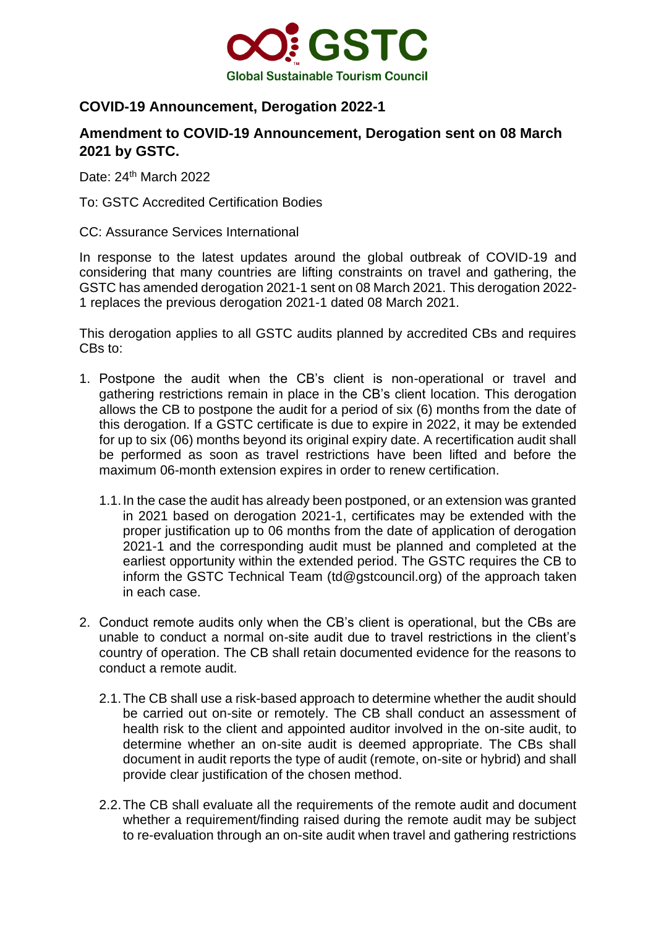

## **COVID-19 Announcement, Derogation 2022-1**

## **Amendment to COVID-19 Announcement, Derogation sent on 08 March 2021 by GSTC.**

Date: 24<sup>th</sup> March 2022

To: GSTC Accredited Certification Bodies

CC: Assurance Services International

In response to the latest updates around the global outbreak of COVID-19 and considering that many countries are lifting constraints on travel and gathering, the GSTC has amended derogation 2021-1 sent on 08 March 2021. This derogation 2022- 1 replaces the previous derogation 2021-1 dated 08 March 2021.

This derogation applies to all GSTC audits planned by accredited CBs and requires CBs to:

- 1. Postpone the audit when the CB's client is non-operational or travel and gathering restrictions remain in place in the CB's client location. This derogation allows the CB to postpone the audit for a period of six (6) months from the date of this derogation. If a GSTC certificate is due to expire in 2022, it may be extended for up to six (06) months beyond its original expiry date. A recertification audit shall be performed as soon as travel restrictions have been lifted and before the maximum 06-month extension expires in order to renew certification.
	- 1.1.In the case the audit has already been postponed, or an extension was granted in 2021 based on derogation 2021-1, certificates may be extended with the proper justification up to 06 months from the date of application of derogation 2021-1 and the corresponding audit must be planned and completed at the earliest opportunity within the extended period. The GSTC requires the CB to inform the GSTC Technical Team [\(td@gstcouncil.org\)](mailto:td@gstcouncil.org) of the approach taken in each case.
- 2. Conduct remote audits only when the CB's client is operational, but the CBs are unable to conduct a normal on-site audit due to travel restrictions in the client's country of operation. The CB shall retain documented evidence for the reasons to conduct a remote audit.
	- 2.1.The CB shall use a risk-based approach to determine whether the audit should be carried out on-site or remotely. The CB shall conduct an assessment of health risk to the client and appointed auditor involved in the on-site audit, to determine whether an on-site audit is deemed appropriate. The CBs shall document in audit reports the type of audit (remote, on-site or hybrid) and shall provide clear justification of the chosen method.
	- 2.2.The CB shall evaluate all the requirements of the remote audit and document whether a requirement/finding raised during the remote audit may be subject to re-evaluation through an on-site audit when travel and gathering restrictions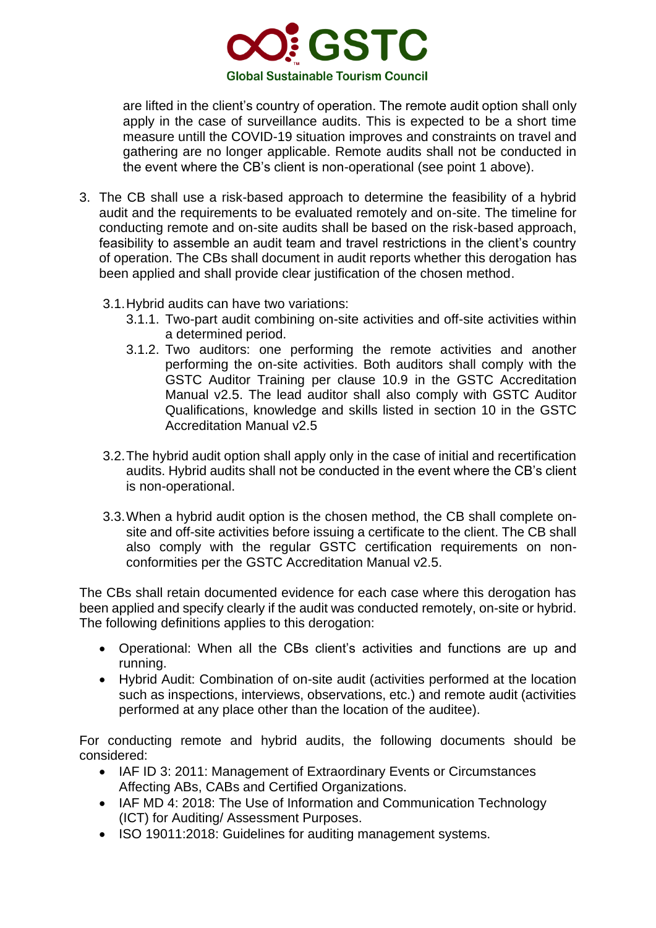

are lifted in the client's country of operation. The remote audit option shall only apply in the case of surveillance audits. This is expected to be a short time measure untill the COVID-19 situation improves and constraints on travel and gathering are no longer applicable. Remote audits shall not be conducted in the event where the CB's client is non-operational (see point 1 above).

- 3. The CB shall use a risk-based approach to determine the feasibility of a hybrid audit and the requirements to be evaluated remotely and on-site. The timeline for conducting remote and on-site audits shall be based on the risk-based approach, feasibility to assemble an audit team and travel restrictions in the client's country of operation. The CBs shall document in audit reports whether this derogation has been applied and shall provide clear justification of the chosen method.
	- 3.1.Hybrid audits can have two variations:
		- 3.1.1. Two-part audit combining on-site activities and off-site activities within a determined period.
		- 3.1.2. Two auditors: one performing the remote activities and another performing the on-site activities. Both auditors shall comply with the GSTC Auditor Training per clause 10.9 in the GSTC Accreditation Manual v2.5. The lead auditor shall also comply with GSTC Auditor Qualifications, knowledge and skills listed in section 10 in the GSTC Accreditation Manual v2.5
	- 3.2.The hybrid audit option shall apply only in the case of initial and recertification audits. Hybrid audits shall not be conducted in the event where the CB's client is non-operational.
	- 3.3.When a hybrid audit option is the chosen method, the CB shall complete onsite and off-site activities before issuing a certificate to the client. The CB shall also comply with the regular GSTC certification requirements on nonconformities per the GSTC Accreditation Manual v2.5.

The CBs shall retain documented evidence for each case where this derogation has been applied and specify clearly if the audit was conducted remotely, on-site or hybrid. The following definitions applies to this derogation:

- Operational: When all the CBs client's activities and functions are up and running.
- Hybrid Audit: Combination of on-site audit (activities performed at the location such as inspections, interviews, observations, etc.) and remote audit (activities performed at any place other than the location of the auditee).

For conducting remote and hybrid audits, the following documents should be considered:

- IAF ID 3: 2011: Management of Extraordinary Events or Circumstances Affecting ABs, CABs and Certified Organizations.
- IAF MD 4: 2018: The Use of Information and Communication Technology (ICT) for Auditing/ Assessment Purposes.
- ISO 19011:2018: Guidelines for auditing management systems.